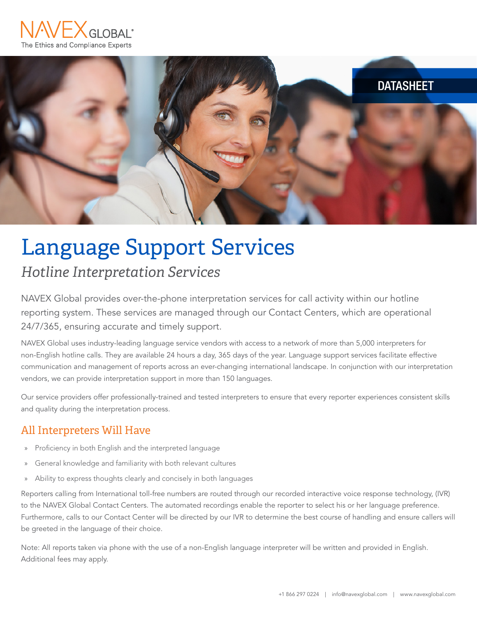



# Language Support Services *Hotline Interpretation Services*

NAVEX Global provides over-the-phone interpretation services for call activity within our hotline reporting system. These services are managed through our Contact Centers, which are operational 24/7/365, ensuring accurate and timely support.

NAVEX Global uses industry-leading language service vendors with access to a network of more than 5,000 interpreters for non-English hotline calls. They are available 24 hours a day, 365 days of the year. Language support services facilitate effective communication and management of reports across an ever-changing international landscape. In conjunction with our interpretation vendors, we can provide interpretation support in more than 150 languages.

Our service providers offer professionally-trained and tested interpreters to ensure that every reporter experiences consistent skills and quality during the interpretation process.

#### All Interpreters Will Have

- » Proficiency in both English and the interpreted language
- General knowledge and familiarity with both relevant cultures
- » Ability to express thoughts clearly and concisely in both languages

Reporters calling from International toll-free numbers are routed through our recorded interactive voice response technology, (IVR) to the NAVEX Global Contact Centers. The automated recordings enable the reporter to select his or her language preference. Furthermore, calls to our Contact Center will be directed by our IVR to determine the best course of handling and ensure callers will be greeted in the language of their choice.

Note: All reports taken via phone with the use of a non-English language interpreter will be written and provided in English. Additional fees may apply.